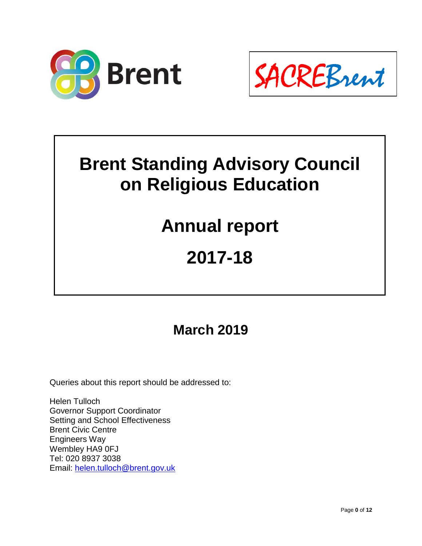



# **Brent Standing Advisory Council on Religious Education**

### **Annual report**

# **2017-18**

### **March 2019**

Queries about this report should be addressed to:

Helen Tulloch Governor Support Coordinator Setting and School Effectiveness Brent Civic Centre Engineers Way Wembley HA9 0FJ Tel: 020 8937 3038 Email: [helen.tulloch@brent.gov.uk](mailto:helen.tulloch@brent.gov.uk)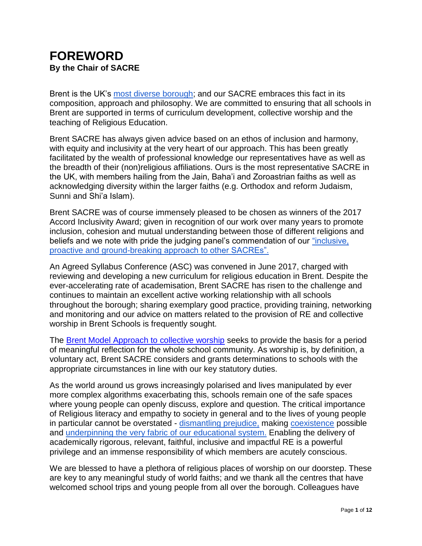### **FOREWORD By the Chair of SACRE**

Brent is the UK's [most diverse borough;](https://data.brent.gov.uk/dataset/diversity-in-brent-profile-2018) and our SACRE embraces this fact in its composition, approach and philosophy. We are committed to ensuring that all schools in Brent are supported in terms of curriculum development, collective worship and the teaching of Religious Education.

Brent SACRE has always given advice based on an ethos of inclusion and harmony, with equity and inclusivity at the very heart of our approach. This has been greatly facilitated by the wealth of professional knowledge our representatives have as well as the breadth of their (non)religious affiliations. Ours is the most representative SACRE in the UK, with members hailing from the Jain, Baha'i and Zoroastrian faiths as well as acknowledging diversity within the larger faiths (e.g. Orthodox and reform Judaism, Sunni and Shi'a Islam).

Brent SACRE was of course immensely pleased to be chosen as winners of the 2017 Accord Inclusivity Award; given in recognition of our work over many years to promote inclusion, cohesion and mutual understanding between those of different religions and beliefs and we note with pride the judging panel's commendation of our ["inclusive,](http://accordcoalition.org.uk/wp-content/uploads/2018/06/Inclusive-SACREs-findings-from-the-2017-Accord-Inclusivity-Award.pdf)  [proactive and ground-breaking](http://accordcoalition.org.uk/wp-content/uploads/2018/06/Inclusive-SACREs-findings-from-the-2017-Accord-Inclusivity-Award.pdf) approach to other SACREs".

An Agreed Syllabus Conference (ASC) was convened in June 2017, charged with reviewing and developing a new curriculum for religious education in Brent. Despite the ever-accelerating rate of academisation, Brent SACRE has risen to the challenge and continues to maintain an excellent active working relationship with all schools throughout the borough; sharing exemplary good practice, providing training, networking and monitoring and our advice on matters related to the provision of RE and collective worship in Brent Schools is frequently sought.

The [Brent Model Approach to collective worship](http://brent.gov.uk/media/946260/collective_worship_model_approach.pdf) seeks to provide the basis for a period of meaningful reflection for the whole school community. As worship is, by definition, a voluntary act, Brent SACRE considers and grants determinations to schools with the appropriate circumstances in line with our key statutory duties.

As the world around us grows increasingly polarised and lives manipulated by ever more complex algorithms exacerbating this, schools remain one of the safe spaces where young people can openly discuss, explore and question. The critical importance of Religious literacy and empathy to society in general and to the lives of young people in particular cannot be overstated - [dismantling prejudice,](https://osf.io/preprints/socarxiv/eq8ca/) making [coexistence](https://journals.sagepub.com/doi/pdf/10.1177/1368430216629566) possible and [underpinning the very fabric of our educational system.](https://data.brent.gov.uk/dataset/diversity-in-brent-profile-2018) Enabling the delivery of academically rigorous, relevant, faithful, inclusive and impactful RE is a powerful privilege and an immense responsibility of which members are acutely conscious.

We are blessed to have a plethora of religious places of worship on our doorstep. These are key to any meaningful study of world faiths; and we thank all the centres that have welcomed school trips and young people from all over the borough. Colleagues have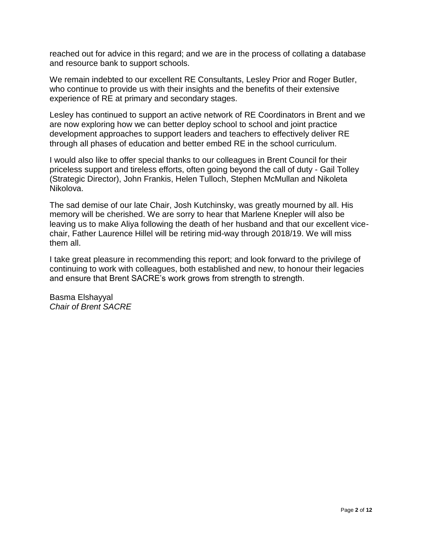reached out for advice in this regard; and we are in the process of collating a database and resource bank to support schools.

We remain indebted to our excellent RE Consultants, Lesley Prior and Roger Butler, who continue to provide us with their insights and the benefits of their extensive experience of RE at primary and secondary stages.

Lesley has continued to support an active network of RE Coordinators in Brent and we are now exploring how we can better deploy school to school and joint practice development approaches to support leaders and teachers to effectively deliver RE through all phases of education and better embed RE in the school curriculum.

I would also like to offer special thanks to our colleagues in Brent Council for their priceless support and tireless efforts, often going beyond the call of duty - Gail Tolley (Strategic Director), John Frankis, Helen Tulloch, Stephen McMullan and Nikoleta Nikolova.

The sad demise of our late Chair, Josh Kutchinsky, was greatly mourned by all. His memory will be cherished. We are sorry to hear that Marlene Knepler will also be leaving us to make Aliya following the death of her husband and that our excellent vicechair, Father Laurence Hillel will be retiring mid-way through 2018/19. We will miss them all.

I take great pleasure in recommending this report; and look forward to the privilege of continuing to work with colleagues, both established and new, to honour their legacies and ensure that Brent SACRE's work grows from strength to strength.

Basma Elshayyal *Chair of Brent SACRE*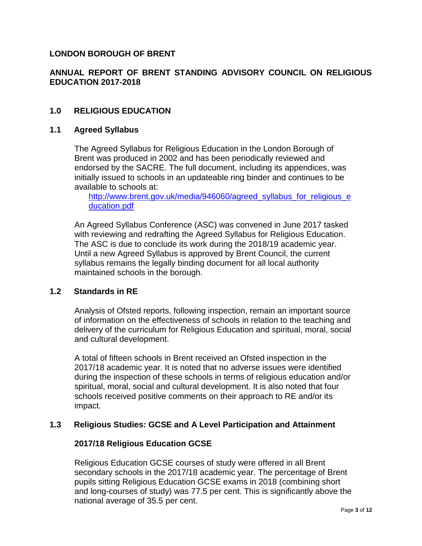#### **LONDON BOROUGH OF BRENT**

#### **ANNUAL REPORT OF BRENT STANDING ADVISORY COUNCIL ON RELIGIOUS EDUCATION 2017-2018**

#### **1.0 RELIGIOUS EDUCATION**

#### **1.1 Agreed Syllabus**

The Agreed Syllabus for Religious Education in the London Borough of Brent was produced in 2002 and has been periodically reviewed and endorsed by the SACRE. The full document, including its appendices, was initially issued to schools in an updateable ring binder and continues to be available to schools at:

[http://www.brent.gov.uk/media/946060/agreed\\_syllabus\\_for\\_religious\\_e](http://www.brent.gov.uk/media/946060/agreed_syllabus_for_religious_education.pdf) [ducation.pdf](http://www.brent.gov.uk/media/946060/agreed_syllabus_for_religious_education.pdf)

An Agreed Syllabus Conference (ASC) was convened in June 2017 tasked with reviewing and redrafting the Agreed Syllabus for Religious Education. The ASC is due to conclude its work during the 2018/19 academic year. Until a new Agreed Syllabus is approved by Brent Council, the current syllabus remains the legally binding document for all local authority maintained schools in the borough.

#### **1.2 Standards in RE**

Analysis of Ofsted reports, following inspection, remain an important source of information on the effectiveness of schools in relation to the teaching and delivery of the curriculum for Religious Education and spiritual, moral, social and cultural development.

A total of fifteen schools in Brent received an Ofsted inspection in the 2017/18 academic year. It is noted that no adverse issues were identified during the inspection of these schools in terms of religious education and/or spiritual, moral, social and cultural development. It is also noted that four schools received positive comments on their approach to RE and/or its impact.

#### **1.3 Religious Studies: GCSE and A Level Participation and Attainment**

#### **2017/18 Religious Education GCSE**

Religious Education GCSE courses of study were offered in all Brent secondary schools in the 2017/18 academic year. The percentage of Brent pupils sitting Religious Education GCSE exams in 2018 (combining short and long-courses of study) was 77.5 per cent. This is significantly above the national average of 35.5 per cent.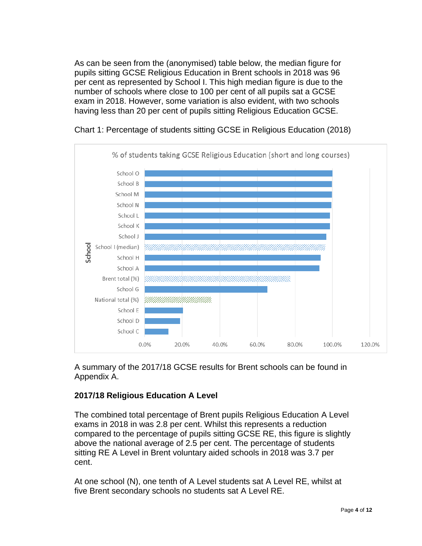As can be seen from the (anonymised) table below, the median figure for pupils sitting GCSE Religious Education in Brent schools in 2018 was 96 per cent as represented by School I. This high median figure is due to the number of schools where close to 100 per cent of all pupils sat a GCSE exam in 2018. However, some variation is also evident, with two schools having less than 20 per cent of pupils sitting Religious Education GCSE.



Chart 1: Percentage of students sitting GCSE in Religious Education (2018)

A summary of the 2017/18 GCSE results for Brent schools can be found in Appendix A.

#### **2017/18 Religious Education A Level**

The combined total percentage of Brent pupils Religious Education A Level exams in 2018 in was 2.8 per cent. Whilst this represents a reduction compared to the percentage of pupils sitting GCSE RE, this figure is slightly above the national average of 2.5 per cent. The percentage of students sitting RE A Level in Brent voluntary aided schools in 2018 was 3.7 per cent.

At one school (N), one tenth of A Level students sat A Level RE, whilst at five Brent secondary schools no students sat A Level RE.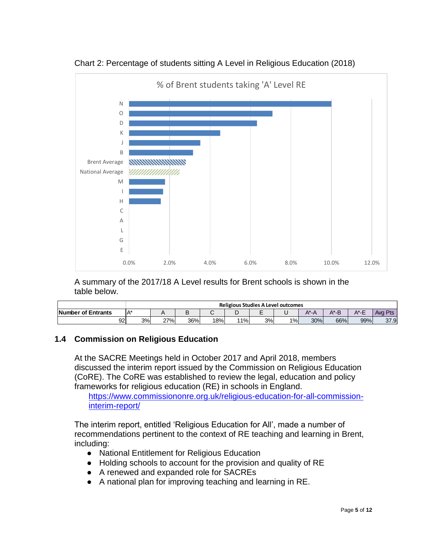

Chart 2: Percentage of students sitting A Level in Religious Education (2018)

A summary of the 2017/18 A Level results for Brent schools is shown in the table below.

|                    |    | Religious Studies A Level outcomes |     |     |    |               |    |           |     |             |            |            |  |  |  |  |
|--------------------|----|------------------------------------|-----|-----|----|---------------|----|-----------|-----|-------------|------------|------------|--|--|--|--|
| Number of Entrants |    | ۸۰                                 | ◡   |     |    | -             |    | <b>A*</b> |     | $\Lambda$ * | $\Delta^*$ | Pts<br>Ava |  |  |  |  |
|                    | 92 | 3%                                 | 27% | 36% | 8% | $^{\circ}1\%$ | 3% | 1%        | 30% | 66%         | 99%        | 37.9l      |  |  |  |  |

#### **1.4 Commission on Religious Education**

At the SACRE Meetings held in October 2017 and April 2018, members discussed the interim report issued by the Commission on Religious Education (CoRE). The CoRE was established to review the legal, education and policy frameworks for religious education (RE) in schools in England.

[https://www.commissiononre.org.uk/religious-education-for-all-commission](https://www.commissiononre.org.uk/religious-education-for-all-commission-interim-report/)[interim-report/](https://www.commissiononre.org.uk/religious-education-for-all-commission-interim-report/)

The interim report, entitled 'Religious Education for All', made a number of recommendations pertinent to the context of RE teaching and learning in Brent, including:

- National Entitlement for Religious Education
- Holding schools to account for the provision and quality of RE
- A renewed and expanded role for SACREs
- A national plan for improving teaching and learning in RE.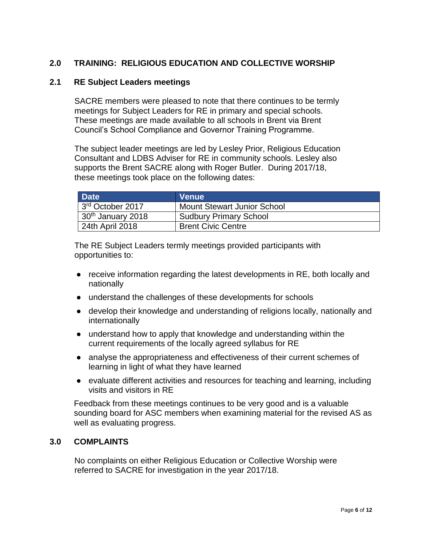#### **2.0 TRAINING: RELIGIOUS EDUCATION AND COLLECTIVE WORSHIP**

#### **2.1 RE Subject Leaders meetings**

SACRE members were pleased to note that there continues to be termly meetings for Subject Leaders for RE in primary and special schools. These meetings are made available to all schools in Brent via Brent Council's School Compliance and Governor Training Programme.

The subject leader meetings are led by Lesley Prior, Religious Education Consultant and LDBS Adviser for RE in community schools. Lesley also supports the Brent SACRE along with Roger Butler. During 2017/18, these meetings took place on the following dates:

| <b>Date</b>                                 | <b>Venue</b>                       |
|---------------------------------------------|------------------------------------|
| 13 <sup>rd</sup> October 2017               | <b>Mount Stewart Junior School</b> |
| $\frac{1}{2}$ 30 <sup>th</sup> January 2018 | <b>Sudbury Primary School</b>      |
| 24th April 2018                             | <b>Brent Civic Centre</b>          |

The RE Subject Leaders termly meetings provided participants with opportunities to:

- receive information regarding the latest developments in RE, both locally and nationally
- understand the challenges of these developments for schools
- develop their knowledge and understanding of religions locally, nationally and internationally
- understand how to apply that knowledge and understanding within the current requirements of the locally agreed syllabus for RE
- analyse the appropriateness and effectiveness of their current schemes of learning in light of what they have learned
- evaluate different activities and resources for teaching and learning, including visits and visitors in RE

Feedback from these meetings continues to be very good and is a valuable sounding board for ASC members when examining material for the revised AS as well as evaluating progress.

#### **3.0 COMPLAINTS**

No complaints on either Religious Education or Collective Worship were referred to SACRE for investigation in the year 2017/18.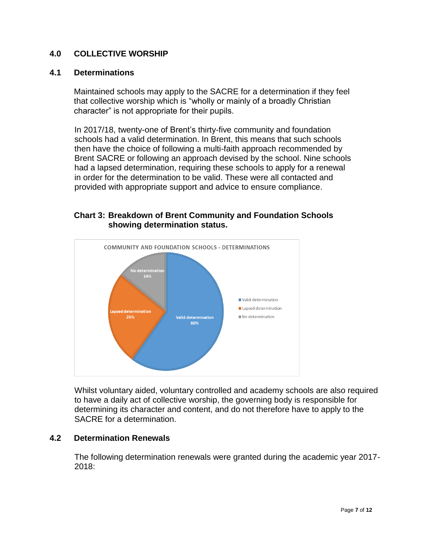#### **4.0 COLLECTIVE WORSHIP**

#### **4.1 Determinations**

Maintained schools may apply to the SACRE for a determination if they feel that collective worship which is "wholly or mainly of a broadly Christian character" is not appropriate for their pupils.

In 2017/18, twenty-one of Brent's thirty-five community and foundation schools had a valid determination. In Brent, this means that such schools then have the choice of following a multi-faith approach recommended by Brent SACRE or following an approach devised by the school. Nine schools had a lapsed determination, requiring these schools to apply for a renewal in order for the determination to be valid. These were all contacted and provided with appropriate support and advice to ensure compliance.

#### **Chart 3: Breakdown of Brent Community and Foundation Schools showing determination status.**



Whilst voluntary aided, voluntary controlled and academy schools are also required to have a daily act of collective worship, the governing body is responsible for determining its character and content, and do not therefore have to apply to the SACRE for a determination.

#### **4.2 Determination Renewals**

The following determination renewals were granted during the academic year 2017- 2018: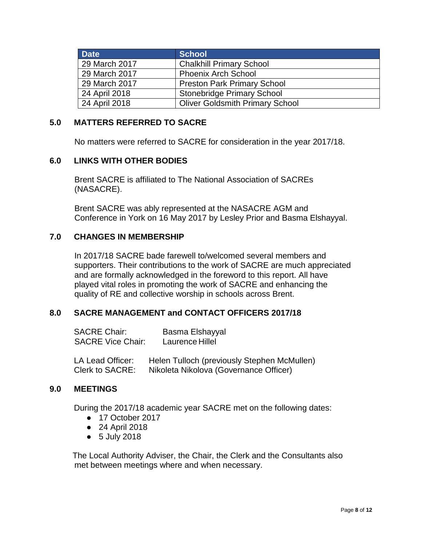| <b>Date</b>   | <b>School</b>                          |
|---------------|----------------------------------------|
| 29 March 2017 | <b>Chalkhill Primary School</b>        |
| 29 March 2017 | <b>Phoenix Arch School</b>             |
| 29 March 2017 | <b>Preston Park Primary School</b>     |
| 24 April 2018 | <b>Stonebridge Primary School</b>      |
| 24 April 2018 | <b>Oliver Goldsmith Primary School</b> |

#### **5.0 MATTERS REFERRED TO SACRE**

No matters were referred to SACRE for consideration in the year 2017/18.

#### **6.0 LINKS WITH OTHER BODIES**

Brent SACRE is affiliated to The National Association of SACREs (NASACRE).

Brent SACRE was ably represented at the NASACRE AGM and Conference in York on 16 May 2017 by Lesley Prior and Basma Elshayyal.

#### **7.0 CHANGES IN MEMBERSHIP**

In 2017/18 SACRE bade farewell to/welcomed several members and supporters. Their contributions to the work of SACRE are much appreciated and are formally acknowledged in the foreword to this report. All have played vital roles in promoting the work of SACRE and enhancing the quality of RE and collective worship in schools across Brent.

#### **8.0 SACRE MANAGEMENT and CONTACT OFFICERS 2017/18**

| <b>SACRE Chair:</b>      | Basma Elshayyal |
|--------------------------|-----------------|
| <b>SACRE Vice Chair:</b> | Laurence Hillel |

LA Lead Officer: Helen Tulloch (previously Stephen McMullen) Clerk to SACRE: Nikoleta Nikolova (Governance Officer)

#### **9.0 MEETINGS**

During the 2017/18 academic year SACRE met on the following dates:

- 17 October 2017
- 24 April 2018
- 5 July 2018

 The Local Authority Adviser, the Chair, the Clerk and the Consultants also met between meetings where and when necessary.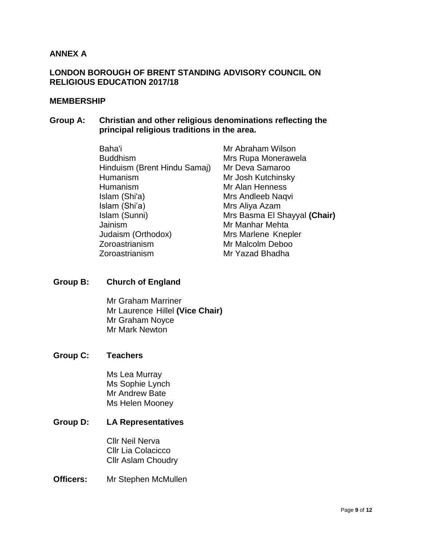#### **ANNEX A**

#### **LONDON BOROUGH OF BRENT STANDING ADVISORY COUNCIL ON RELIGIOUS EDUCATION 2017/18**

#### **MEMBERSHIP**

#### **Group A: Christian and other religious denominations reflecting the principal religious traditions in the area.**

- Baha'i **Mr Abraham Wilson** Buddhism Mrs Rupa Monerawela Hinduism (Brent Hindu Samaj) Mr Deva Samaroo Humanism Mr Josh Kutchinsky Humanism Mr Alan Henness Islam (Shi'a) Mrs Andleeb Naqvi Islam (Shi'a) Mrs Aliya Azam Islam (Sunni) Mrs Basma El Shayyal **(Chair)** Jainism Mr Manhar Mehta Judaism (Orthodox) Mrs Marlene Knepler Zoroastrianism Mr Malcolm Deboo Zoroastrianism Mr Yazad Bhadha
	-

#### **Group B: Church of England**

Mr Graham Marriner Mr Laurence Hillel **(Vice Chair)** Mr Graham Noyce Mr Mark Newton

#### **Group C: Teachers**

Ms Lea Murray Ms Sophie Lynch Mr Andrew Bate Ms Helen Mooney

#### **Group D: LA Representatives**

Cllr Neil Nerva Cllr Lia Colacicco Cllr Aslam Choudry

**Officers:** Mr Stephen McMullen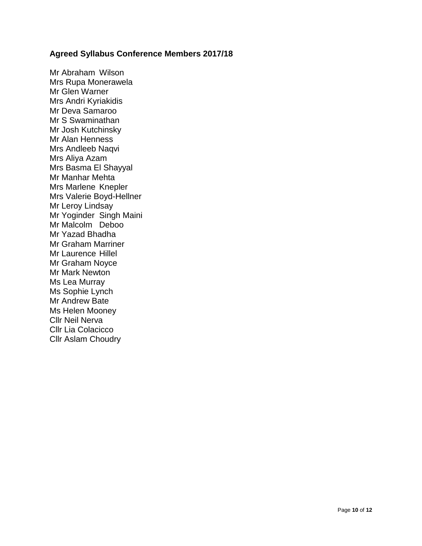#### **Agreed Syllabus Conference Members 2017/18**

Mr Abraham Wilson Mrs Rupa Monerawela Mr Glen Warner Mrs Andri Kyriakidis Mr Deva Samaroo Mr S Swaminathan Mr Josh Kutchinsky Mr Alan Henness Mrs Andleeb Naqvi Mrs Aliya Azam Mrs Basma El Shayyal Mr Manhar Mehta Mrs Marlene Knepler Mrs Valerie Boyd-Hellner Mr Leroy Lindsay Mr Yoginder Singh Maini Mr Malcolm Deboo Mr Yazad Bhadha Mr Graham Marriner Mr Laurence Hillel Mr Graham Noyce Mr Mark Newton Ms Lea Murray Ms Sophie Lynch Mr Andrew Bate Ms Helen Mooney Cllr Neil Nerva Cllr Lia Colacicco Cllr Aslam Choudry